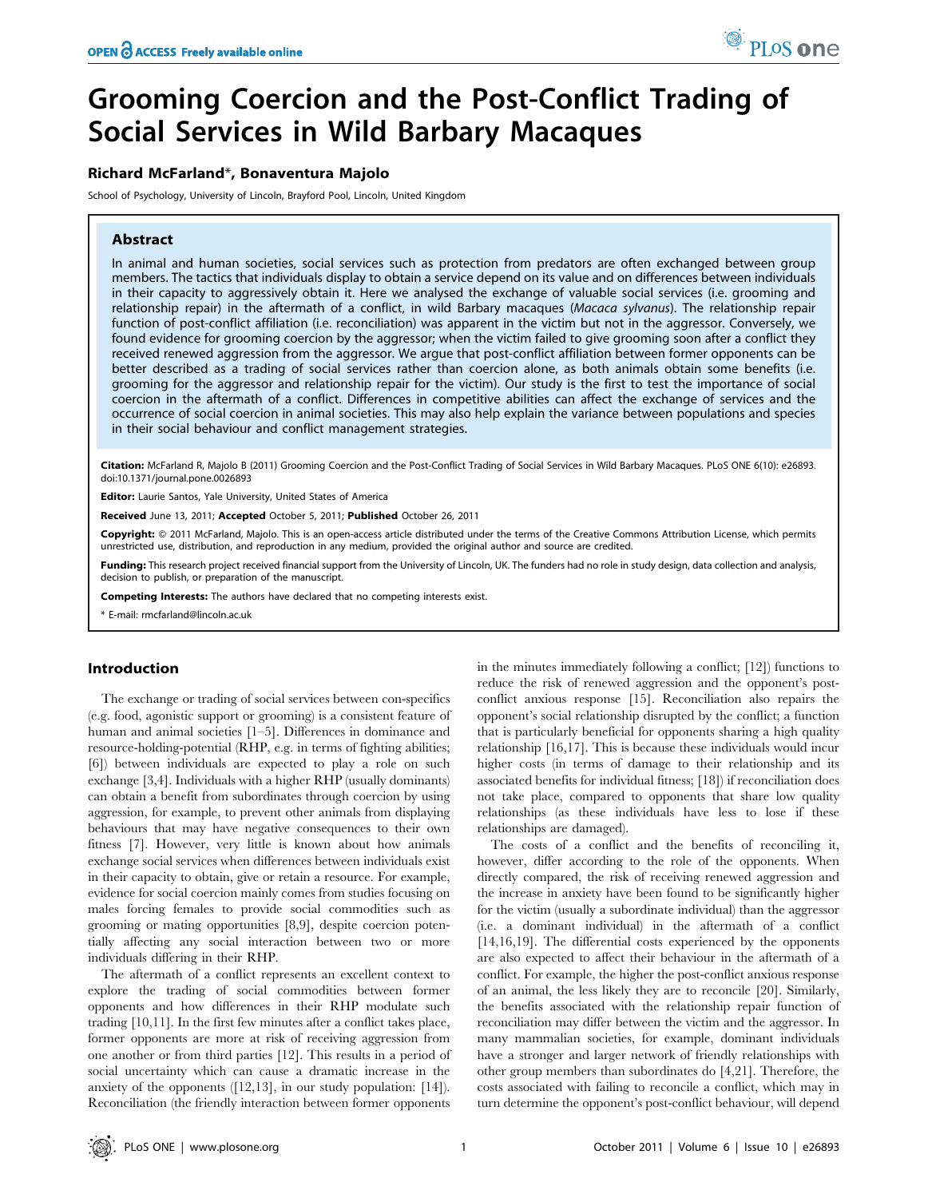# Grooming Coercion and the Post-Conflict Trading of Social Services in Wild Barbary Macaques

## Richard McFarland\*, Bonaventura Majolo

School of Psychology, University of Lincoln, Brayford Pool, Lincoln, United Kingdom

# Abstract

In animal and human societies, social services such as protection from predators are often exchanged between group members. The tactics that individuals display to obtain a service depend on its value and on differences between individuals in their capacity to aggressively obtain it. Here we analysed the exchange of valuable social services (i.e. grooming and relationship repair) in the aftermath of a conflict, in wild Barbary macaques (Macaca sylvanus). The relationship repair function of post-conflict affiliation (i.e. reconciliation) was apparent in the victim but not in the aggressor. Conversely, we found evidence for grooming coercion by the aggressor; when the victim failed to give grooming soon after a conflict they received renewed aggression from the aggressor. We argue that post-conflict affiliation between former opponents can be better described as a trading of social services rather than coercion alone, as both animals obtain some benefits (i.e. grooming for the aggressor and relationship repair for the victim). Our study is the first to test the importance of social coercion in the aftermath of a conflict. Differences in competitive abilities can affect the exchange of services and the occurrence of social coercion in animal societies. This may also help explain the variance between populations and species in their social behaviour and conflict management strategies.

Citation: McFarland R, Majolo B (2011) Grooming Coercion and the Post-Conflict Trading of Social Services in Wild Barbary Macaques. PLoS ONE 6(10): e26893. doi:10.1371/journal.pone.0026893

Editor: Laurie Santos, Yale University, United States of America

Received June 13, 2011; Accepted October 5, 2011; Published October 26, 2011

**Copyright:** © 2011 McFarland, Majolo. This is an open-access article distributed under the terms of the Creative Commons Attribution License, which permits unrestricted use, distribution, and reproduction in any medium, provided the original author and source are credited.

Funding: This research project received financial support from the University of Lincoln, UK. The funders had no role in study design, data collection and analysis, decision to publish, or preparation of the manuscript.

Competing Interests: The authors have declared that no competing interests exist.

\* E-mail: rmcfarland@lincoln.ac.uk

## Introduction

The exchange or trading of social services between con-specifics (e.g. food, agonistic support or grooming) is a consistent feature of human and animal societies [1–5]. Differences in dominance and resource-holding-potential (RHP, e.g. in terms of fighting abilities; [6]) between individuals are expected to play a role on such exchange [3,4]. Individuals with a higher RHP (usually dominants) can obtain a benefit from subordinates through coercion by using aggression, for example, to prevent other animals from displaying behaviours that may have negative consequences to their own fitness [7]. However, very little is known about how animals exchange social services when differences between individuals exist in their capacity to obtain, give or retain a resource. For example, evidence for social coercion mainly comes from studies focusing on males forcing females to provide social commodities such as grooming or mating opportunities [8,9], despite coercion potentially affecting any social interaction between two or more individuals differing in their RHP.

The aftermath of a conflict represents an excellent context to explore the trading of social commodities between former opponents and how differences in their RHP modulate such trading [10,11]. In the first few minutes after a conflict takes place, former opponents are more at risk of receiving aggression from one another or from third parties [12]. This results in a period of social uncertainty which can cause a dramatic increase in the anxiety of the opponents ([12,13], in our study population: [14]). Reconciliation (the friendly interaction between former opponents

in the minutes immediately following a conflict; [12]) functions to reduce the risk of renewed aggression and the opponent's postconflict anxious response [15]. Reconciliation also repairs the opponent's social relationship disrupted by the conflict; a function that is particularly beneficial for opponents sharing a high quality relationship [16,17]. This is because these individuals would incur higher costs (in terms of damage to their relationship and its associated benefits for individual fitness; [18]) if reconciliation does not take place, compared to opponents that share low quality relationships (as these individuals have less to lose if these relationships are damaged).

The costs of a conflict and the benefits of reconciling it, however, differ according to the role of the opponents. When directly compared, the risk of receiving renewed aggression and the increase in anxiety have been found to be significantly higher for the victim (usually a subordinate individual) than the aggressor (i.e. a dominant individual) in the aftermath of a conflict [14,16,19]. The differential costs experienced by the opponents are also expected to affect their behaviour in the aftermath of a conflict. For example, the higher the post-conflict anxious response of an animal, the less likely they are to reconcile [20]. Similarly, the benefits associated with the relationship repair function of reconciliation may differ between the victim and the aggressor. In many mammalian societies, for example, dominant individuals have a stronger and larger network of friendly relationships with other group members than subordinates do [4,21]. Therefore, the costs associated with failing to reconcile a conflict, which may in turn determine the opponent's post-conflict behaviour, will depend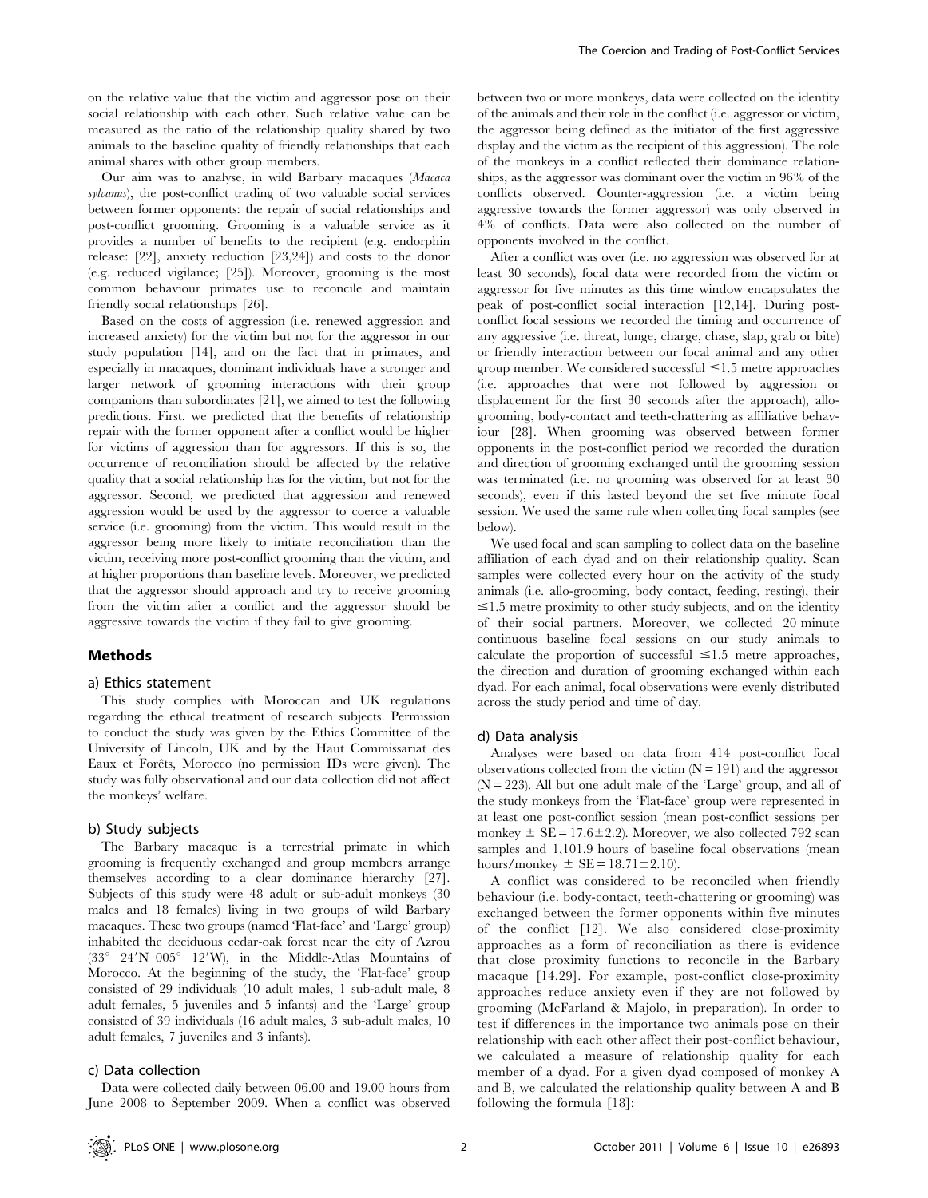on the relative value that the victim and aggressor pose on their social relationship with each other. Such relative value can be measured as the ratio of the relationship quality shared by two animals to the baseline quality of friendly relationships that each animal shares with other group members.

Our aim was to analyse, in wild Barbary macaques (Macaca sylvanus), the post-conflict trading of two valuable social services between former opponents: the repair of social relationships and post-conflict grooming. Grooming is a valuable service as it provides a number of benefits to the recipient (e.g. endorphin release: [22], anxiety reduction [23,24]) and costs to the donor (e.g. reduced vigilance; [25]). Moreover, grooming is the most common behaviour primates use to reconcile and maintain friendly social relationships [26].

Based on the costs of aggression (i.e. renewed aggression and increased anxiety) for the victim but not for the aggressor in our study population [14], and on the fact that in primates, and especially in macaques, dominant individuals have a stronger and larger network of grooming interactions with their group companions than subordinates [21], we aimed to test the following predictions. First, we predicted that the benefits of relationship repair with the former opponent after a conflict would be higher for victims of aggression than for aggressors. If this is so, the occurrence of reconciliation should be affected by the relative quality that a social relationship has for the victim, but not for the aggressor. Second, we predicted that aggression and renewed aggression would be used by the aggressor to coerce a valuable service (i.e. grooming) from the victim. This would result in the aggressor being more likely to initiate reconciliation than the victim, receiving more post-conflict grooming than the victim, and at higher proportions than baseline levels. Moreover, we predicted that the aggressor should approach and try to receive grooming from the victim after a conflict and the aggressor should be aggressive towards the victim if they fail to give grooming.

## Methods

### a) Ethics statement

This study complies with Moroccan and UK regulations regarding the ethical treatment of research subjects. Permission to conduct the study was given by the Ethics Committee of the University of Lincoln, UK and by the Haut Commissariat des Eaux et Forêts, Morocco (no permission IDs were given). The study was fully observational and our data collection did not affect the monkeys' welfare.

#### b) Study subjects

The Barbary macaque is a terrestrial primate in which grooming is frequently exchanged and group members arrange themselves according to a clear dominance hierarchy [27]. Subjects of this study were 48 adult or sub-adult monkeys (30 males and 18 females) living in two groups of wild Barbary macaques. These two groups (named 'Flat-face' and 'Large' group) inhabited the deciduous cedar-oak forest near the city of Azrou  $(33^{\circ}$  24'N–005° 12'W), in the Middle-Atlas Mountains of Morocco. At the beginning of the study, the 'Flat-face' group consisted of 29 individuals (10 adult males, 1 sub-adult male, 8 adult females, 5 juveniles and 5 infants) and the 'Large' group consisted of 39 individuals (16 adult males, 3 sub-adult males, 10 adult females, 7 juveniles and 3 infants).

## c) Data collection

Data were collected daily between 06.00 and 19.00 hours from June 2008 to September 2009. When a conflict was observed between two or more monkeys, data were collected on the identity of the animals and their role in the conflict (i.e. aggressor or victim, the aggressor being defined as the initiator of the first aggressive display and the victim as the recipient of this aggression). The role of the monkeys in a conflict reflected their dominance relationships, as the aggressor was dominant over the victim in 96% of the conflicts observed. Counter-aggression (i.e. a victim being aggressive towards the former aggressor) was only observed in 4% of conflicts. Data were also collected on the number of opponents involved in the conflict.

After a conflict was over (i.e. no aggression was observed for at least 30 seconds), focal data were recorded from the victim or aggressor for five minutes as this time window encapsulates the peak of post-conflict social interaction [12,14]. During postconflict focal sessions we recorded the timing and occurrence of any aggressive (i.e. threat, lunge, charge, chase, slap, grab or bite) or friendly interaction between our focal animal and any other group member. We considered successful  $\leq 1.5$  metre approaches (i.e. approaches that were not followed by aggression or displacement for the first 30 seconds after the approach), allogrooming, body-contact and teeth-chattering as affiliative behaviour [28]. When grooming was observed between former opponents in the post-conflict period we recorded the duration and direction of grooming exchanged until the grooming session was terminated (i.e. no grooming was observed for at least 30 seconds), even if this lasted beyond the set five minute focal session. We used the same rule when collecting focal samples (see below).

We used focal and scan sampling to collect data on the baseline affiliation of each dyad and on their relationship quality. Scan samples were collected every hour on the activity of the study animals (i.e. allo-grooming, body contact, feeding, resting), their  $\leq 1.5$  metre proximity to other study subjects, and on the identity of their social partners. Moreover, we collected 20 minute continuous baseline focal sessions on our study animals to calculate the proportion of successful  $\leq 1.5$  metre approaches, the direction and duration of grooming exchanged within each dyad. For each animal, focal observations were evenly distributed across the study period and time of day.

#### d) Data analysis

Analyses were based on data from 414 post-conflict focal observations collected from the victim  $(N = 191)$  and the aggressor  $(N = 223)$ . All but one adult male of the 'Large' group, and all of the study monkeys from the 'Flat-face' group were represented in at least one post-conflict session (mean post-conflict sessions per monkey  $\pm$  SE = 17.6 $\pm$ 2.2). Moreover, we also collected 792 scan samples and 1,101.9 hours of baseline focal observations (mean hours/monkey  $\pm$  SE = 18.71 $\pm$ 2.10).

A conflict was considered to be reconciled when friendly behaviour (i.e. body-contact, teeth-chattering or grooming) was exchanged between the former opponents within five minutes of the conflict [12]. We also considered close-proximity approaches as a form of reconciliation as there is evidence that close proximity functions to reconcile in the Barbary macaque [14,29]. For example, post-conflict close-proximity approaches reduce anxiety even if they are not followed by grooming (McFarland & Majolo, in preparation). In order to test if differences in the importance two animals pose on their relationship with each other affect their post-conflict behaviour, we calculated a measure of relationship quality for each member of a dyad. For a given dyad composed of monkey A and B, we calculated the relationship quality between A and B following the formula [18]: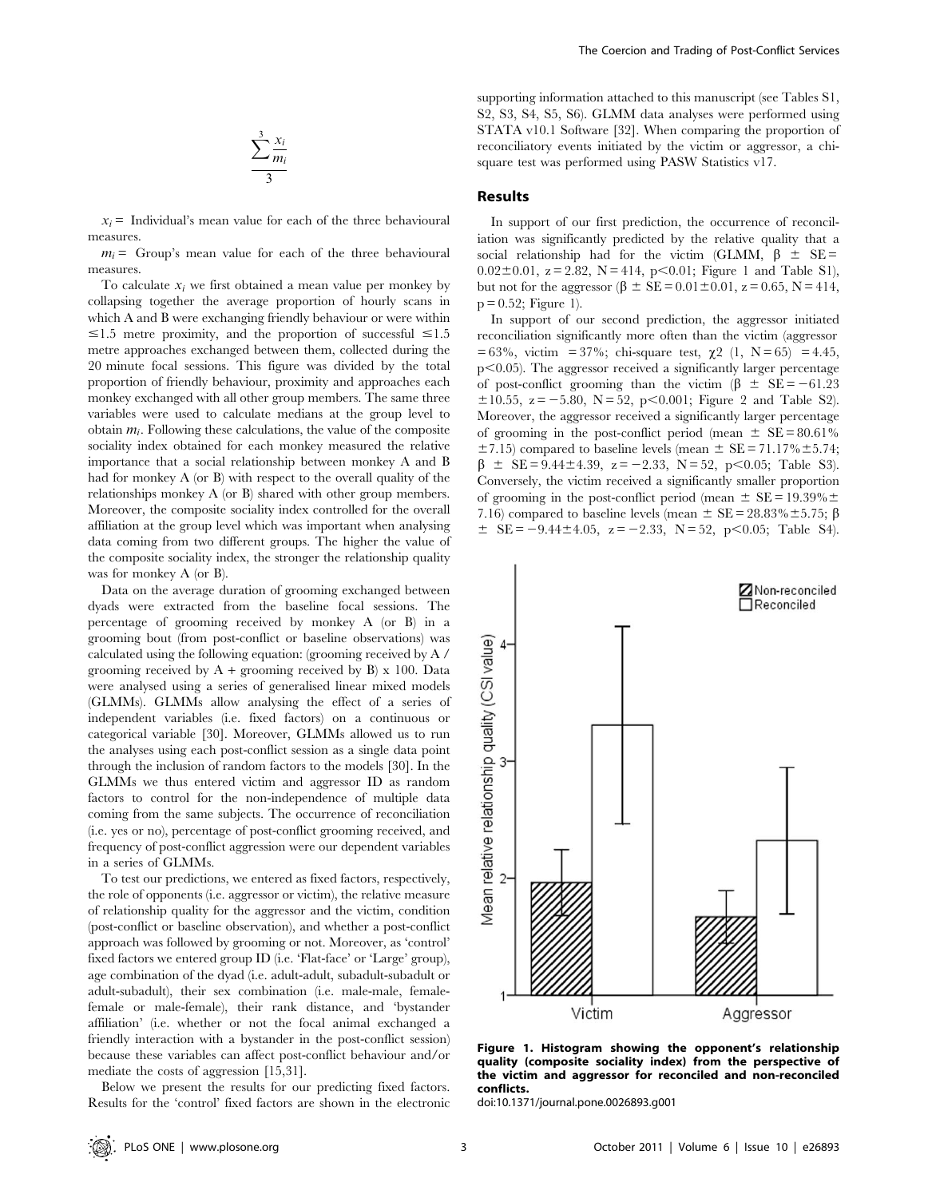$$
\frac{\sum_{i=1}^{3}x_i}{3}
$$

 $x_i$  = Individual's mean value for each of the three behavioural measures.

 $m_i$  = Group's mean value for each of the three behavioural measures.

To calculate  $x_i$  we first obtained a mean value per monkey by collapsing together the average proportion of hourly scans in which A and B were exchanging friendly behaviour or were within  $\leq$ 1.5 metre proximity, and the proportion of successful  $\leq$ 1.5 metre approaches exchanged between them, collected during the 20 minute focal sessions. This figure was divided by the total proportion of friendly behaviour, proximity and approaches each monkey exchanged with all other group members. The same three variables were used to calculate medians at the group level to obtain  $m_i$ . Following these calculations, the value of the composite sociality index obtained for each monkey measured the relative importance that a social relationship between monkey A and B had for monkey A (or B) with respect to the overall quality of the relationships monkey A (or B) shared with other group members. Moreover, the composite sociality index controlled for the overall affiliation at the group level which was important when analysing data coming from two different groups. The higher the value of the composite sociality index, the stronger the relationship quality was for monkey A (or B).

Data on the average duration of grooming exchanged between dyads were extracted from the baseline focal sessions. The percentage of grooming received by monkey A (or B) in a grooming bout (from post-conflict or baseline observations) was calculated using the following equation: (grooming received by A / grooming received by  $A +$  grooming received by B) x 100. Data were analysed using a series of generalised linear mixed models (GLMMs). GLMMs allow analysing the effect of a series of independent variables (i.e. fixed factors) on a continuous or categorical variable [30]. Moreover, GLMMs allowed us to run the analyses using each post-conflict session as a single data point through the inclusion of random factors to the models [30]. In the GLMMs we thus entered victim and aggressor ID as random factors to control for the non-independence of multiple data coming from the same subjects. The occurrence of reconciliation (i.e. yes or no), percentage of post-conflict grooming received, and frequency of post-conflict aggression were our dependent variables in a series of GLMMs.

To test our predictions, we entered as fixed factors, respectively, the role of opponents (i.e. aggressor or victim), the relative measure of relationship quality for the aggressor and the victim, condition (post-conflict or baseline observation), and whether a post-conflict approach was followed by grooming or not. Moreover, as 'control' fixed factors we entered group ID (i.e. 'Flat-face' or 'Large' group), age combination of the dyad (i.e. adult-adult, subadult-subadult or adult-subadult), their sex combination (i.e. male-male, femalefemale or male-female), their rank distance, and 'bystander affiliation' (i.e. whether or not the focal animal exchanged a friendly interaction with a bystander in the post-conflict session) because these variables can affect post-conflict behaviour and/or mediate the costs of aggression [15,31].

Below we present the results for our predicting fixed factors. Results for the 'control' fixed factors are shown in the electronic supporting information attached to this manuscript (see Tables S1, S2, S3, S4, S5, S6). GLMM data analyses were performed using STATA v10.1 Software [32]. When comparing the proportion of reconciliatory events initiated by the victim or aggressor, a chisquare test was performed using PASW Statistics v17.

## Results

In support of our first prediction, the occurrence of reconciliation was significantly predicted by the relative quality that a social relationship had for the victim (GLMM,  $\beta \pm SE =$  $0.02\pm0.01$ ,  $z = 2.82$ ,  $N = 414$ ,  $p < 0.01$ ; Figure 1 and Table S1), but not for the aggressor  $(\beta \pm SE = 0.01 \pm 0.01, z = 0.65, N = 414,$  $p = 0.52$ ; Figure 1).

In support of our second prediction, the aggressor initiated reconciliation significantly more often than the victim (aggressor  $= 63\%$ , victim = 37%; chi-square test,  $\chi$ 2 (1, N = 65) = 4.45,  $p<0.05$ ). The aggressor received a significantly larger percentage of post-conflict grooming than the victim ( $\beta \pm SE = -61.23$ )  $\pm 10.55$ ,  $z = -5.80$ ,  $N = 52$ ,  $p < 0.001$ ; Figure 2 and Table S2). Moreover, the aggressor received a significantly larger percentage of grooming in the post-conflict period (mean  $\pm$  SE = 80.61%)  $\pm$ 7.15) compared to baseline levels (mean  $\pm$  SE = 71.17% $\pm$ 5.74;  $\beta \pm \text{SE} = 9.44 \pm 4.39$ ,  $z = -2.33$ ,  $N = 52$ ,  $p < 0.05$ ; Table S3). Conversely, the victim received a significantly smaller proportion of grooming in the post-conflict period (mean  $\pm$  SE = 19.39% $\pm$ 7.16) compared to baseline levels (mean  $\pm$  SE = 28.83% $\pm$ 5.75;  $\beta$  $\pm$  SE = -9.44 $\pm$ 4.05, z = -2.33, N = 52, p<0.05; Table S4).



Figure 1. Histogram showing the opponent's relationship quality (composite sociality index) from the perspective of the victim and aggressor for reconciled and non-reconciled conflicts.

doi:10.1371/journal.pone.0026893.g001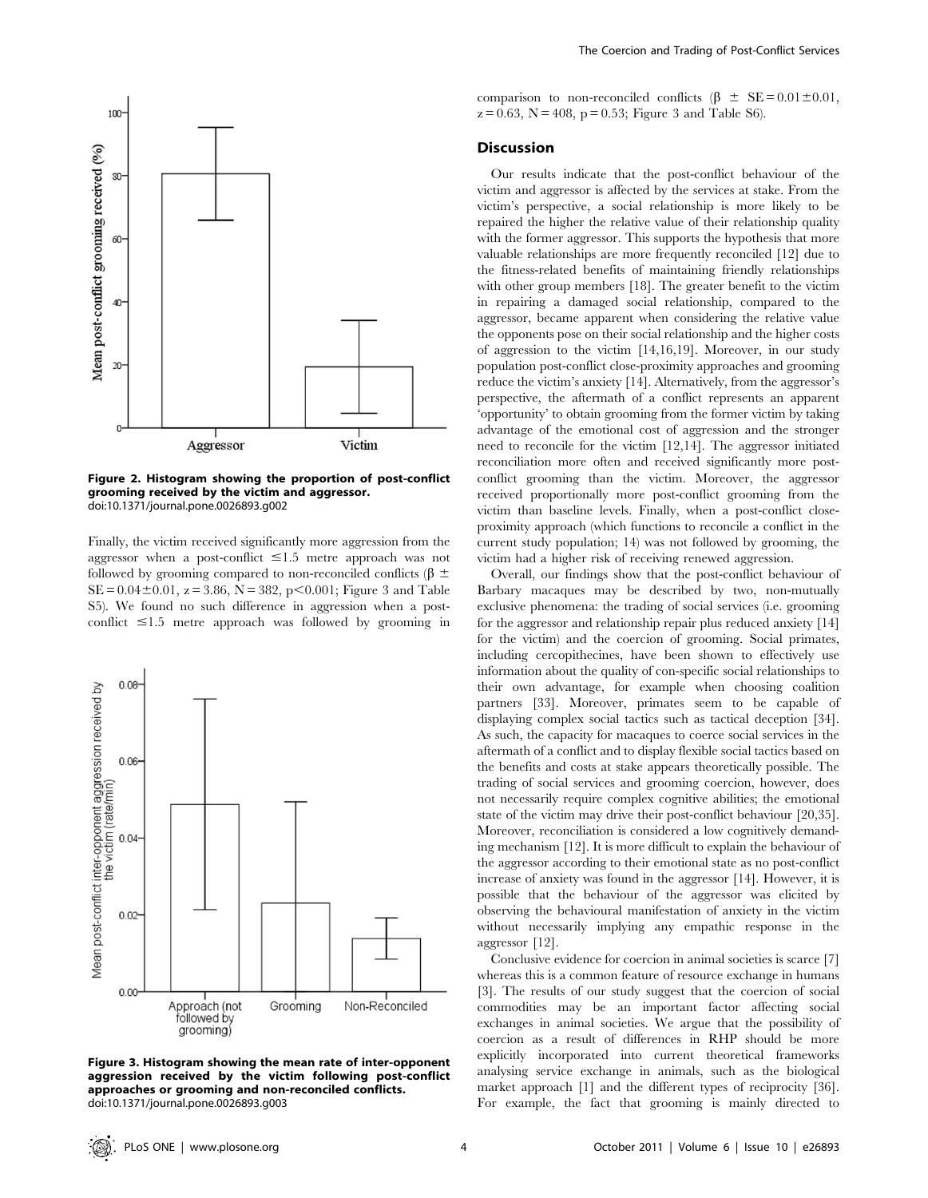

Figure 2. Histogram showing the proportion of post-conflict grooming received by the victim and aggressor. doi:10.1371/journal.pone.0026893.g002

Finally, the victim received significantly more aggression from the aggressor when a post-conflict  $\leq 1.5$  metre approach was not followed by grooming compared to non-reconciled conflicts ( $\beta \pm$  $SE = 0.04 \pm 0.01$ ,  $z = 3.86$ ,  $N = 382$ ,  $p < 0.001$ ; Figure 3 and Table S5). We found no such difference in aggression when a postconflict  $\leq 1.5$  metre approach was followed by grooming in



Figure 3. Histogram showing the mean rate of inter-opponent aggression received by the victim following post-conflict approaches or grooming and non-reconciled conflicts. doi:10.1371/journal.pone.0026893.g003

comparison to non-reconciled conflicts ( $\beta \pm SE = 0.01 \pm 0.01$ ,  $z = 0.63$ ,  $N = 408$ ,  $p = 0.53$ ; Figure 3 and Table S6).

## Discussion

Our results indicate that the post-conflict behaviour of the victim and aggressor is affected by the services at stake. From the victim's perspective, a social relationship is more likely to be repaired the higher the relative value of their relationship quality with the former aggressor. This supports the hypothesis that more valuable relationships are more frequently reconciled [12] due to the fitness-related benefits of maintaining friendly relationships with other group members [18]. The greater benefit to the victim in repairing a damaged social relationship, compared to the aggressor, became apparent when considering the relative value the opponents pose on their social relationship and the higher costs of aggression to the victim [14,16,19]. Moreover, in our study population post-conflict close-proximity approaches and grooming reduce the victim's anxiety [14]. Alternatively, from the aggressor's perspective, the aftermath of a conflict represents an apparent 'opportunity' to obtain grooming from the former victim by taking advantage of the emotional cost of aggression and the stronger need to reconcile for the victim [12,14]. The aggressor initiated reconciliation more often and received significantly more postconflict grooming than the victim. Moreover, the aggressor received proportionally more post-conflict grooming from the victim than baseline levels. Finally, when a post-conflict closeproximity approach (which functions to reconcile a conflict in the current study population; 14) was not followed by grooming, the victim had a higher risk of receiving renewed aggression.

Overall, our findings show that the post-conflict behaviour of Barbary macaques may be described by two, non-mutually exclusive phenomena: the trading of social services (i.e. grooming for the aggressor and relationship repair plus reduced anxiety [14] for the victim) and the coercion of grooming. Social primates, including cercopithecines, have been shown to effectively use information about the quality of con-specific social relationships to their own advantage, for example when choosing coalition partners [33]. Moreover, primates seem to be capable of displaying complex social tactics such as tactical deception [34]. As such, the capacity for macaques to coerce social services in the aftermath of a conflict and to display flexible social tactics based on the benefits and costs at stake appears theoretically possible. The trading of social services and grooming coercion, however, does not necessarily require complex cognitive abilities; the emotional state of the victim may drive their post-conflict behaviour [20,35]. Moreover, reconciliation is considered a low cognitively demanding mechanism [12]. It is more difficult to explain the behaviour of the aggressor according to their emotional state as no post-conflict increase of anxiety was found in the aggressor [14]. However, it is possible that the behaviour of the aggressor was elicited by observing the behavioural manifestation of anxiety in the victim without necessarily implying any empathic response in the aggressor [12].

Conclusive evidence for coercion in animal societies is scarce [7] whereas this is a common feature of resource exchange in humans [3]. The results of our study suggest that the coercion of social commodities may be an important factor affecting social exchanges in animal societies. We argue that the possibility of coercion as a result of differences in RHP should be more explicitly incorporated into current theoretical frameworks analysing service exchange in animals, such as the biological market approach [1] and the different types of reciprocity [36]. For example, the fact that grooming is mainly directed to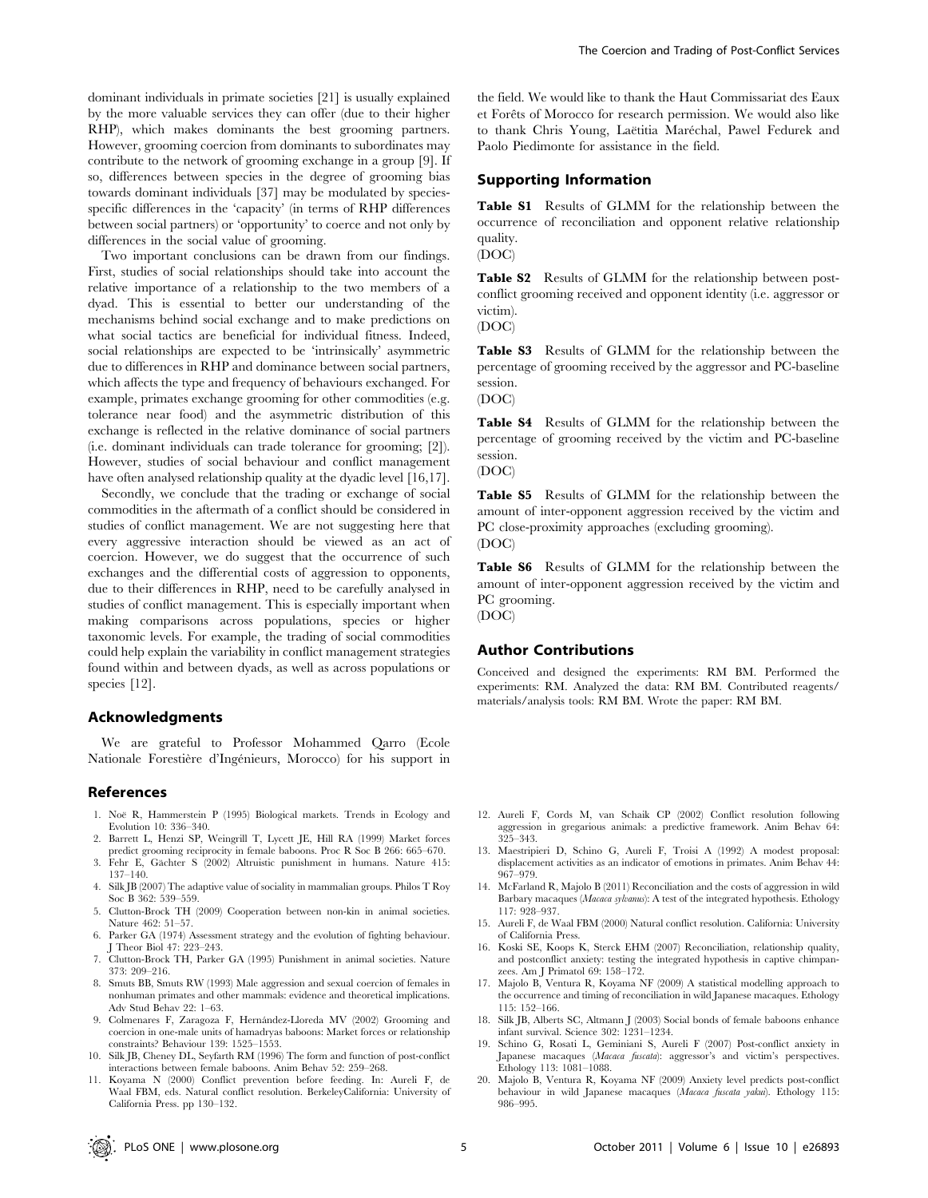dominant individuals in primate societies [21] is usually explained by the more valuable services they can offer (due to their higher RHP), which makes dominants the best grooming partners. However, grooming coercion from dominants to subordinates may contribute to the network of grooming exchange in a group [9]. If so, differences between species in the degree of grooming bias towards dominant individuals [37] may be modulated by speciesspecific differences in the 'capacity' (in terms of RHP differences between social partners) or 'opportunity' to coerce and not only by differences in the social value of grooming.

Two important conclusions can be drawn from our findings. First, studies of social relationships should take into account the relative importance of a relationship to the two members of a dyad. This is essential to better our understanding of the mechanisms behind social exchange and to make predictions on what social tactics are beneficial for individual fitness. Indeed, social relationships are expected to be 'intrinsically' asymmetric due to differences in RHP and dominance between social partners, which affects the type and frequency of behaviours exchanged. For example, primates exchange grooming for other commodities (e.g. tolerance near food) and the asymmetric distribution of this exchange is reflected in the relative dominance of social partners (i.e. dominant individuals can trade tolerance for grooming; [2]). However, studies of social behaviour and conflict management have often analysed relationship quality at the dyadic level [16,17].

Secondly, we conclude that the trading or exchange of social commodities in the aftermath of a conflict should be considered in studies of conflict management. We are not suggesting here that every aggressive interaction should be viewed as an act of coercion. However, we do suggest that the occurrence of such exchanges and the differential costs of aggression to opponents, due to their differences in RHP, need to be carefully analysed in studies of conflict management. This is especially important when making comparisons across populations, species or higher taxonomic levels. For example, the trading of social commodities could help explain the variability in conflict management strategies found within and between dyads, as well as across populations or species [12].

## Acknowledgments

We are grateful to Professor Mohammed Qarro (Ecole Nationale Forestière d'Ingénieurs, Morocco) for his support in

#### References

- 1. Noë R, Hammerstein P (1995) Biological markets. Trends in Ecology and Evolution 10: 336–340.
- 2. Barrett L, Henzi SP, Weingrill T, Lycett JE, Hill RA (1999) Market forces predict grooming reciprocity in female baboons. Proc R Soc B 266: 665–670.
- 3. Fehr E, Gächter S (2002) Altruistic punishment in humans. Nature 415: 137–140.
- 4. Silk JB (2007) The adaptive value of sociality in mammalian groups. Philos T Roy Soc B 362: 539–559.
- 5. Clutton-Brock TH (2009) Cooperation between non-kin in animal societies. Nature 462: 51–57.
- 6. Parker GA (1974) Assessment strategy and the evolution of fighting behaviour. J Theor Biol 47: 223–243.
- 7. Clutton-Brock TH, Parker GA (1995) Punishment in animal societies. Nature 373: 209–216.
- 8. Smuts BB, Smuts RW (1993) Male aggression and sexual coercion of females in nonhuman primates and other mammals: evidence and theoretical implications. Adv Stud Behav 22: 1–63.
- 9. Colmenares F, Zaragoza F, Hernández-Lloreda MV (2002) Grooming and coercion in one-male units of hamadryas baboons: Market forces or relationship constraints? Behaviour 139: 1525–1553.
- 10. Silk JB, Cheney DL, Seyfarth RM (1996) The form and function of post-conflict interactions between female baboons. Anim Behav 52: 259–268.
- 11. Koyama N (2000) Conflict prevention before feeding. In: Aureli F, de Waal FBM, eds. Natural conflict resolution. BerkeleyCalifornia: University of California Press. pp 130–132.

the field. We would like to thank the Haut Commissariat des Eaux et Forêts of Morocco for research permission. We would also like to thank Chris Young, Laëtitia Maréchal, Pawel Fedurek and Paolo Piedimonte for assistance in the field.

## Supporting Information

Table S1 Results of GLMM for the relationship between the occurrence of reconciliation and opponent relative relationship quality.

(DOC)

Table S2 Results of GLMM for the relationship between postconflict grooming received and opponent identity (i.e. aggressor or victim).

(DOC)

Table S3 Results of GLMM for the relationship between the percentage of grooming received by the aggressor and PC-baseline session. (DOC)

Table S4 Results of GLMM for the relationship between the percentage of grooming received by the victim and PC-baseline session.

(DOC)

Table S5 Results of GLMM for the relationship between the amount of inter-opponent aggression received by the victim and PC close-proximity approaches (excluding grooming). (DOC)

Table S6 Results of GLMM for the relationship between the amount of inter-opponent aggression received by the victim and PC grooming. (DOC)

#### Author Contributions

Conceived and designed the experiments: RM BM. Performed the experiments: RM. Analyzed the data: RM BM. Contributed reagents/ materials/analysis tools: RM BM. Wrote the paper: RM BM.

- 12. Aureli F, Cords M, van Schaik CP (2002) Conflict resolution following aggression in gregarious animals: a predictive framework. Anim Behav 64: 325–343.
- 13. Maestripieri D, Schino G, Aureli F, Troisi A (1992) A modest proposal: displacement activities as an indicator of emotions in primates. Anim Behav 44: 967–979.
- 14. McFarland R, Majolo B (2011) Reconciliation and the costs of aggression in wild Barbary macaques (Macaca sylvanus): A test of the integrated hypothesis. Ethology 117: 928–937.
- 15. Aureli F, de Waal FBM (2000) Natural conflict resolution. California: University of California Press.
- 16. Koski SE, Koops K, Sterck EHM (2007) Reconciliation, relationship quality, and postconflict anxiety: testing the integrated hypothesis in captive chimpanzees. Am J Primatol 69: 158–172.
- 17. Majolo B, Ventura R, Koyama NF (2009) A statistical modelling approach to the occurrence and timing of reconciliation in wild Japanese macaques. Ethology 115: 152–166.
- 18. Silk JB, Alberts SC, Altmann J (2003) Social bonds of female baboons enhance infant survival. Science 302: 1231–1234.
- 19. Schino G, Rosati L, Geminiani S, Aureli F (2007) Post-conflict anxiety in Japanese macaques (Macaca fuscata): aggressor's and victim's perspectives. Ethology 113: 1081–1088.
- 20. Majolo B, Ventura R, Koyama NF (2009) Anxiety level predicts post-conflict behaviour in wild Japanese macaques (Macaca fuscata yakui). Ethology 115: 986–995.